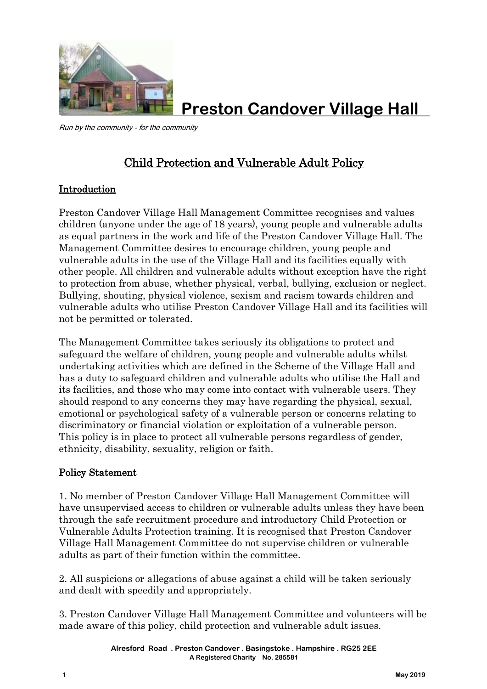

**Preston Candover Village Hall**

Run by the community - for the community

## Child Protection and Vulnerable Adult Policy

## Introduction

Preston Candover Village Hall Management Committee recognises and values children (anyone under the age of 18 years), young people and vulnerable adults as equal partners in the work and life of the Preston Candover Village Hall. The Management Committee desires to encourage children, young people and vulnerable adults in the use of the Village Hall and its facilities equally with other people. All children and vulnerable adults without exception have the right to protection from abuse, whether physical, verbal, bullying, exclusion or neglect. Bullying, shouting, physical violence, sexism and racism towards children and vulnerable adults who utilise Preston Candover Village Hall and its facilities will not be permitted or tolerated.

The Management Committee takes seriously its obligations to protect and safeguard the welfare of children, young people and vulnerable adults whilst undertaking activities which are defined in the Scheme of the Village Hall and has a duty to safeguard children and vulnerable adults who utilise the Hall and its facilities, and those who may come into contact with vulnerable users. They should respond to any concerns they may have regarding the physical, sexual, emotional or psychological safety of a vulnerable person or concerns relating to discriminatory or financial violation or exploitation of a vulnerable person. This policy is in place to protect all vulnerable persons regardless of gender, ethnicity, disability, sexuality, religion or faith.

## Policy Statement

1. No member of Preston Candover Village Hall Management Committee will have unsupervised access to children or vulnerable adults unless they have been through the safe recruitment procedure and introductory Child Protection or Vulnerable Adults Protection training. It is recognised that Preston Candover Village Hall Management Committee do not supervise children or vulnerable adults as part of their function within the committee.

2. All suspicions or allegations of abuse against a child will be taken seriously and dealt with speedily and appropriately.

3. Preston Candover Village Hall Management Committee and volunteers will be made aware of this policy, child protection and vulnerable adult issues.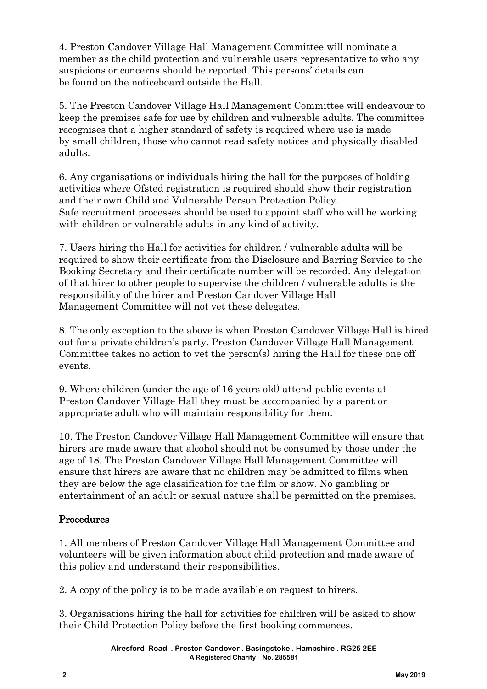4. Preston Candover Village Hall Management Committee will nominate a member as the child protection and vulnerable users representative to who any suspicions or concerns should be reported. This persons' details can be found on the noticeboard outside the Hall.

5. The Preston Candover Village Hall Management Committee will endeavour to keep the premises safe for use by children and vulnerable adults. The committee recognises that a higher standard of safety is required where use is made by small children, those who cannot read safety notices and physically disabled adults.

6. Any organisations or individuals hiring the hall for the purposes of holding activities where Ofsted registration is required should show their registration and their own Child and Vulnerable Person Protection Policy. Safe recruitment processes should be used to appoint staff who will be working with children or vulnerable adults in any kind of activity.

7. Users hiring the Hall for activities for children / vulnerable adults will be required to show their certificate from the Disclosure and Barring Service to the Booking Secretary and their certificate number will be recorded. Any delegation of that hirer to other people to supervise the children / vulnerable adults is the responsibility of the hirer and Preston Candover Village Hall Management Committee will not vet these delegates.

8. The only exception to the above is when Preston Candover Village Hall is hired out for a private children's party. Preston Candover Village Hall Management Committee takes no action to vet the person(s) hiring the Hall for these one off events.

9. Where children (under the age of 16 years old) attend public events at Preston Candover Village Hall they must be accompanied by a parent or appropriate adult who will maintain responsibility for them.

10. The Preston Candover Village Hall Management Committee will ensure that hirers are made aware that alcohol should not be consumed by those under the age of 18. The Preston Candover Village Hall Management Committee will ensure that hirers are aware that no children may be admitted to films when they are below the age classification for the film or show. No gambling or entertainment of an adult or sexual nature shall be permitted on the premises.

## Procedures

1. All members of Preston Candover Village Hall Management Committee and volunteers will be given information about child protection and made aware of this policy and understand their responsibilities.

2. A copy of the policy is to be made available on request to hirers.

3. Organisations hiring the hall for activities for children will be asked to show their Child Protection Policy before the first booking commences.